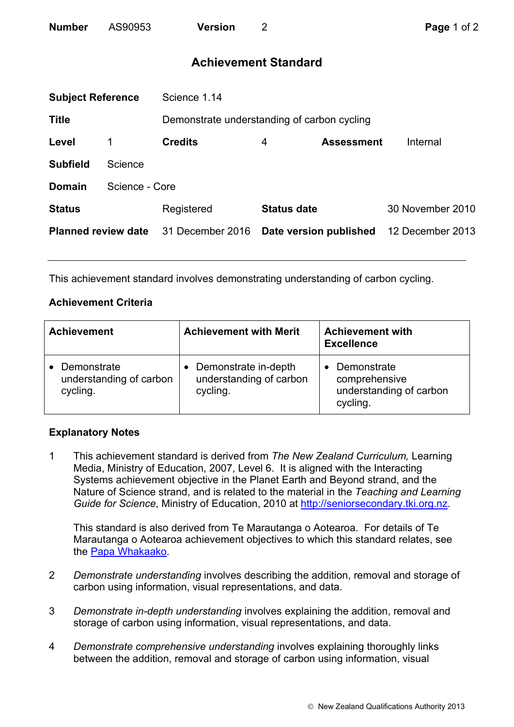| <b>Number</b> | AS90953 | <b>Version</b> |
|---------------|---------|----------------|
|               |         |                |

## **Achievement Standard**

|                            | <b>Subject Reference</b><br>Science 1.14 |                                             |                    |                        |                  |
|----------------------------|------------------------------------------|---------------------------------------------|--------------------|------------------------|------------------|
| <b>Title</b>               |                                          | Demonstrate understanding of carbon cycling |                    |                        |                  |
| Level                      |                                          | <b>Credits</b>                              | 4                  | <b>Assessment</b>      | Internal         |
| <b>Subfield</b>            | Science                                  |                                             |                    |                        |                  |
| <b>Domain</b>              | Science - Core                           |                                             |                    |                        |                  |
| <b>Status</b>              |                                          | Registered                                  | <b>Status date</b> |                        | 30 November 2010 |
| <b>Planned review date</b> |                                          | 31 December 2016                            |                    | Date version published | 12 December 2013 |
|                            |                                          |                                             |                    |                        |                  |

This achievement standard involves demonstrating understanding of carbon cycling.

## **Achievement Criteria**

| <b>Achievement</b>                                 | <b>Achievement with Merit</b>                               | <b>Achievement with</b><br><b>Excellence</b>                        |  |
|----------------------------------------------------|-------------------------------------------------------------|---------------------------------------------------------------------|--|
| Demonstrate<br>understanding of carbon<br>cycling. | Demonstrate in-depth<br>understanding of carbon<br>cycling. | Demonstrate<br>comprehensive<br>understanding of carbon<br>cycling. |  |

## **Explanatory Notes**

1 This achievement standard is derived from *The New Zealand Curriculum,* Learning Media, Ministry of Education, 2007, Level 6. It is aligned with the Interacting Systems achievement objective in the Planet Earth and Beyond strand, and the Nature of Science strand, and is related to the material in the *Teaching and Learning Guide for Science*, Ministry of Education, 2010 at http://seniorsecondary.tki.org.nz.

This standard is also derived from Te Marautanga o Aotearoa. For details of Te Marautanga o Aotearoa achievement objectives to which this standard relates, see the Papa Whakaako.

- 2 *Demonstrate understanding* involves describing the addition, removal and storage of carbon using information, visual representations, and data.
- 3 *Demonstrate in-depth understanding* involves explaining the addition, removal and storage of carbon using information, visual representations, and data.
- 4 *Demonstrate comprehensive understanding* involves explaining thoroughly links between the addition, removal and storage of carbon using information, visual